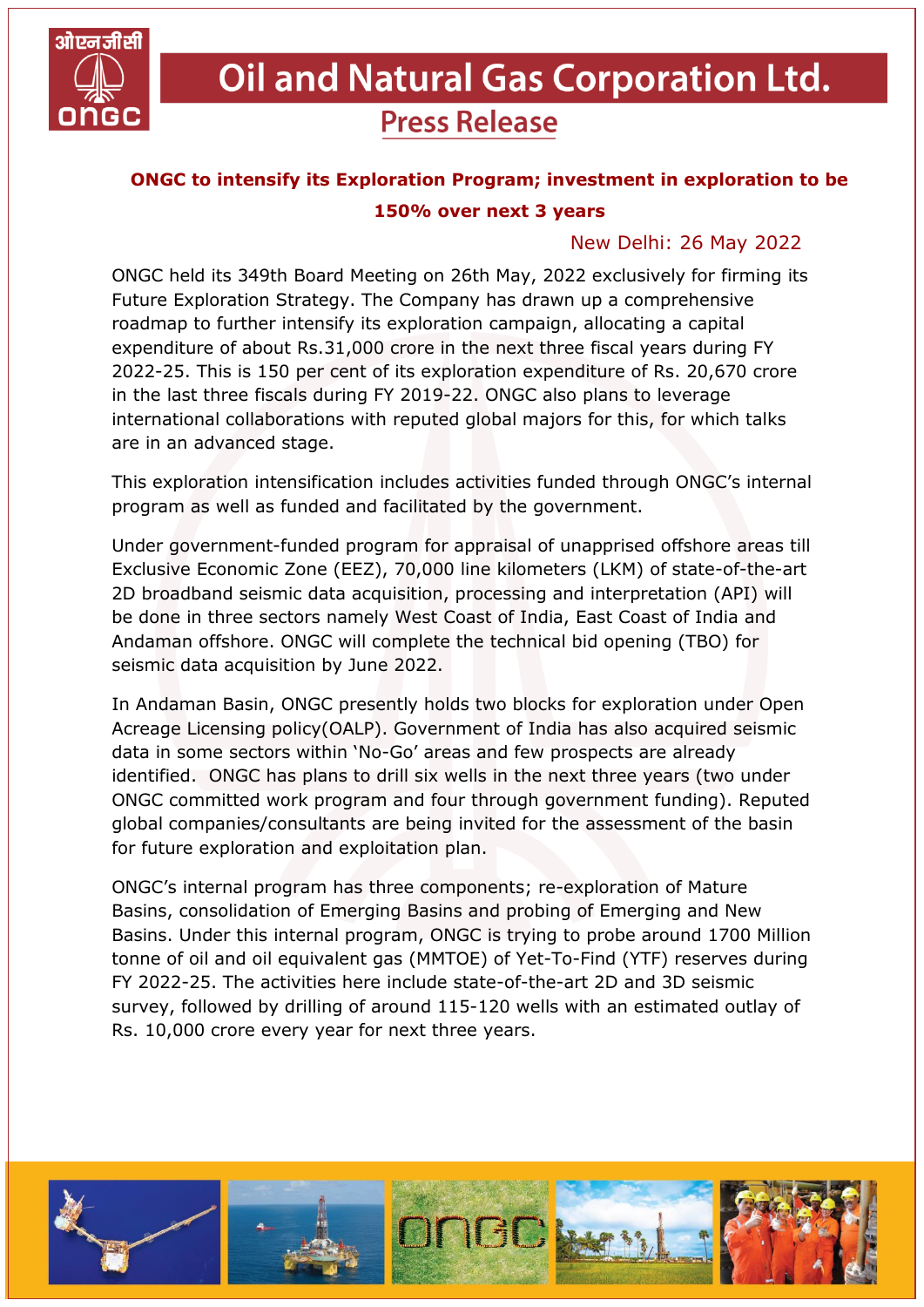

## **Oil and Natural Gas Corporation Ltd. Press Release**

## **ONGC to intensify its Exploration Program; investment in exploration to be 150% over next 3 years**

## New Delhi: 26 May 2022

ONGC held its 349th Board Meeting on 26th May, 2022 exclusively for firming its Future Exploration Strategy. The Company has drawn up a comprehensive roadmap to further intensify its exploration campaign, allocating a capital expenditure of about Rs.31,000 crore in the next three fiscal years during FY 2022-25. This is 150 per cent of its exploration expenditure of Rs. 20,670 crore in the last three fiscals during FY 2019-22. ONGC also plans to leverage international collaborations with reputed global majors for this, for which talks are in an advanced stage.

This exploration intensification includes activities funded through ONGC's internal program as well as funded and facilitated by the government.

Under government-funded program for appraisal of unapprised offshore areas till Exclusive Economic Zone (EEZ), 70,000 line kilometers (LKM) of state-of-the-art 2D broadband seismic data acquisition, processing and interpretation (API) will be done in three sectors namely West Coast of India, East Coast of India and Andaman offshore. ONGC will complete the technical bid opening (TBO) for seismic data acquisition by June 2022.

In Andaman Basin, ONGC presently holds two blocks for exploration under Open Acreage Licensing policy(OALP). Government of India has also acquired seismic data in some sectors within 'No-Go' areas and few prospects are already identified. ONGC has plans to drill six wells in the next three years (two under ONGC committed work program and four through government funding). Reputed global companies/consultants are being invited for the assessment of the basin for future exploration and exploitation plan.

ONGC's internal program has three components; re-exploration of Mature Basins, consolidation of Emerging Basins and probing of Emerging and New Basins. Under this internal program, ONGC is trying to probe around 1700 Million tonne of oil and oil equivalent gas (MMTOE) of Yet-To-Find (YTF) reserves during FY 2022-25. The activities here include state-of-the-art 2D and 3D seismic survey, followed by drilling of around 115-120 wells with an estimated outlay of Rs. 10,000 crore every year for next three years.